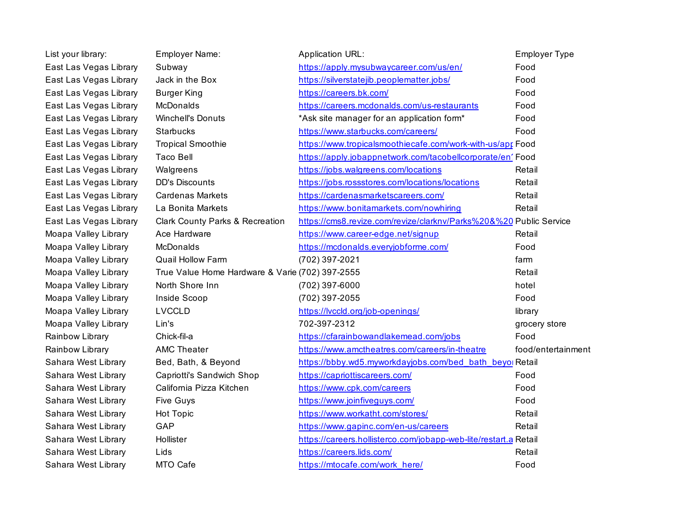| List your library:     | Employer Name:                                  | <b>Application URL:</b>                                            | <b>Employer Type</b> |
|------------------------|-------------------------------------------------|--------------------------------------------------------------------|----------------------|
| East Las Vegas Library | Subway                                          | https://apply.mysubwaycareer.com/us/en/                            | Food                 |
| East Las Vegas Library | Jack in the Box                                 | https://silverstatejib.peoplematter.jobs/                          | Food                 |
| East Las Vegas Library | <b>Burger King</b>                              | https://careers.bk.com/                                            | Food                 |
| East Las Vegas Library | <b>McDonalds</b>                                | https://careers.mcdonalds.com/us-restaurants                       | Food                 |
| East Las Vegas Library | <b>Winchell's Donuts</b>                        | *Ask site manager for an application form*                         | Food                 |
| East Las Vegas Library | <b>Starbucks</b>                                | https://www.starbucks.com/careers/                                 | Food                 |
| East Las Vegas Library | <b>Tropical Smoothie</b>                        | https://www.tropicalsmoothiecafe.com/work-with-us/apr Food         |                      |
| East Las Vegas Library | <b>Taco Bell</b>                                | https://apply.jobappnetwork.com/tacobellcorporate/en' Food         |                      |
| East Las Vegas Library | Walgreens                                       | https://jobs.walgreens.com/locations                               | Retail               |
| East Las Vegas Library | <b>DD's Discounts</b>                           | https://jobs.rossstores.com/locations/locations                    | Retail               |
| East Las Vegas Library | <b>Cardenas Markets</b>                         | https://cardenasmarketscareers.com/                                | Retail               |
| East Las Vegas Library | La Bonita Markets                               | https://www.bonitamarkets.com/nowhiring                            | Retail               |
| East Las Vegas Library | <b>Clark County Parks &amp; Recreation</b>      | https://cms8.revize.com/revize/clarknv/Parks%20&%20 Public Service |                      |
| Moapa Valley Library   | Ace Hardware                                    | https://www.career-edge.net/signup                                 | Retail               |
| Moapa Valley Library   | <b>McDonalds</b>                                | https://mcdonalds.everyjobforme.com/                               | Food                 |
| Moapa Valley Library   | Quail Hollow Farm                               | (702) 397-2021                                                     | farm                 |
| Moapa Valley Library   | True Value Home Hardware & Varie (702) 397-2555 |                                                                    | Retail               |
| Moapa Valley Library   | North Shore Inn                                 | (702) 397-6000                                                     | hotel                |
| Moapa Valley Library   | Inside Scoop                                    | (702) 397-2055                                                     | Food                 |
| Moapa Valley Library   | <b>LVCCLD</b>                                   | https://lvccld.org/job-openings/                                   | library              |
| Moapa Valley Library   | Lin's                                           | 702-397-2312                                                       | grocery store        |
| Rainbow Library        | Chick-fil-a                                     | https://cfarainbowandlakemead.com/jobs                             | Food                 |
| Rainbow Library        | <b>AMC Theater</b>                              | https://www.amctheatres.com/careers/in-theatre                     | food/entertainment   |
| Sahara West Library    | Bed, Bath, & Beyond                             | https://bbby.wd5.myworkdayjobs.com/bed bath beyoj Retail           |                      |
| Sahara West Library    | Capriotti's Sandwich Shop                       | https://capriottiscareers.com/                                     | Food                 |
| Sahara West Library    | California Pizza Kitchen                        | https://www.cpk.com/careers                                        | Food                 |
| Sahara West Library    | <b>Five Guys</b>                                | https://www.joinfiveguys.com/                                      | Food                 |
| Sahara West Library    | <b>Hot Topic</b>                                | https://www.workatht.com/stores/                                   | Retail               |
| Sahara West Library    | GAP                                             | https://www.gapinc.com/en-us/careers                               | Retail               |
| Sahara West Library    | Hollister                                       | https://careers.hollisterco.com/jobapp-web-lite/restart.a Retail   |                      |
| Sahara West Library    | Lids                                            | https://careers.lids.com/                                          | Retail               |
| Sahara West Library    | MTO Cafe                                        | https://mtocafe.com/work_here/                                     | Food                 |
|                        |                                                 |                                                                    |                      |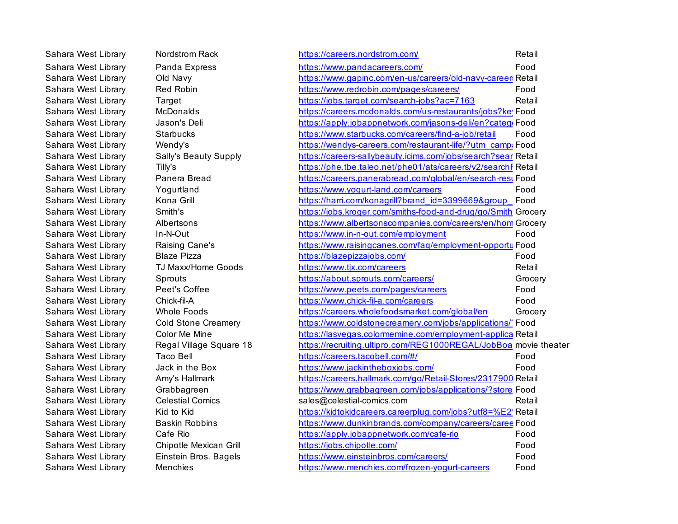| Sahara West Library | Nordstrom Rack               | https://careers.nordstrom.com/                                   | Retail  |
|---------------------|------------------------------|------------------------------------------------------------------|---------|
| Sahara West Library | Panda Express                | https://www.pandacareers.com/                                    | Food    |
| Sahara West Library | Old Navy                     | https://www.gapinc.com/en-us/careers/old-navy-career: Retail     |         |
| Sahara West Library | Red Robin                    | https://www.redrobin.com/pages/careers/                          | Food    |
| Sahara West Library | Target                       | https://jobs.target.com/search-jobs?ac=7163                      | Retail  |
| Sahara West Library | McDonalds                    | https://careers.mcdonalds.com/us-restaurants/jobs?ke' Food       |         |
| Sahara West Library | Jason's Deli                 | https://apply.jobappnetwork.com/jasons-deli/en?categr Food       |         |
| Sahara West Library | Starbucks                    | https://www.starbucks.com/careers/find-a-job/retail              | Food    |
| Sahara West Library | Wendy's                      | https://wendys-careers.com/restaurant-life/?utm_campa Food       |         |
| Sahara West Library | <b>Sally's Beauty Supply</b> | https://careers-sallybeauty.icims.com/jobs/search?sear Retail    |         |
| Sahara West Library | Tilly's                      | https://phe.tbe.taleo.net/phe01/ats/careers/v2/searchF Retail    |         |
| Sahara West Library | Panera Bread                 | https://careers.panerabread.com/global/en/search-rest Food       |         |
| Sahara West Library | Yogurtland                   | https://www.yogurt-land.com/careers                              | Food    |
| Sahara West Library | Kona Grill                   | https://harri.com/konagrill?brand_id=3399669&group_Food          |         |
| Sahara West Library | Smith's                      | https://jobs.kroger.com/smiths-food-and-drug/go/Smith Grocery    |         |
| Sahara West Library | Albertsons                   | https://www.albertsonscompanies.com/careers/en/hom Grocery       |         |
| Sahara West Library | In-N-Out                     | https://www.in-n-out.com/employment                              | Food    |
| Sahara West Library | Raising Cane's               | https://www.raisingcanes.com/faq/employment-opportu Food         |         |
| Sahara West Library | <b>Blaze Pizza</b>           | https://blazepizzajobs.com/                                      | Food    |
| Sahara West Library | TJ Maxx/Home Goods           | https://www.tjx.com/careers                                      | Retail  |
| Sahara West Library | Sprouts                      | https://about.sprouts.com/careers/                               | Grocery |
| Sahara West Library | Peet's Coffee                | https://www.peets.com/pages/careers                              | Food    |
| Sahara West Library | Chick-fil-A                  | https://www.chick-fil-a.com/careers                              | Food    |
| Sahara West Library | <b>Whole Foods</b>           | https://careers.wholefoodsmarket.com/global/en                   | Grocery |
| Sahara West Library | <b>Cold Stone Creamery</b>   | https://www.coldstonecreamery.com/jobs/applications/' Food       |         |
| Sahara West Library | Color Me Mine                | https://lasvegas.colormemine.com/employment-applica Retail       |         |
| Sahara West Library | Regal Village Square 18      | https://recruiting.ultipro.com/REG1000REGAL/JobBoa movie theater |         |
| Sahara West Library | <b>Taco Bell</b>             | https://careers.tacobell.com/#/                                  | Food    |
| Sahara West Library | Jack in the Box              | https://www.jackintheboxjobs.com/                                | Food    |
| Sahara West Library | Amy's Hallmark               | https://careers.hallmark.com/go/Retail-Stores/2317900 Retail     |         |
| Sahara West Library | Grabbagreen                  | https://www.grabbagreen.com/jobs/applications/?store Food        |         |
| Sahara West Library | <b>Celestial Comics</b>      | sales@celestial-comics.com                                       | Retail  |
| Sahara West Library | Kid to Kid                   | https://kidtokidcareers.careerplug.com/jobs?utf8=%E2'Retail      |         |
| Sahara West Library | <b>Baskin Robbins</b>        | https://www.dunkinbrands.com/company/careers/caree Food          |         |
| Sahara West Library | Cafe Rio                     | https://apply.jobappnetwork.com/cafe-rio                         | Food    |
| Sahara West Library | Chipotle Mexican Grill       | https://jobs.chipotle.com/                                       | Food    |
| Sahara West Library | Einstein Bros. Bagels        | https://www.einsteinbros.com/careers/                            | Food    |
| Sahara West Library | Menchies                     | https://www.menchies.com/frozen-yogurt-careers                   | Food    |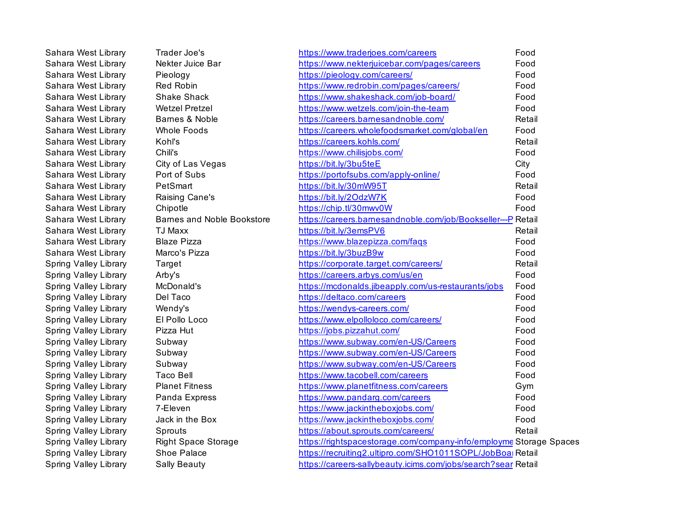| Sahara West Library   | Trader Joe's               | https://www.traderjoes.com/careers                                 | Food   |
|-----------------------|----------------------------|--------------------------------------------------------------------|--------|
| Sahara West Library   | Nekter Juice Bar           | https://www.nekterjuicebar.com/pages/careers                       | Food   |
| Sahara West Library   | Pieology                   | https://pieology.com/careers/                                      | Food   |
| Sahara West Library   | Red Robin                  | https://www.redrobin.com/pages/careers/                            | Food   |
| Sahara West Library   | <b>Shake Shack</b>         | https://www.shakeshack.com/job-board/                              | Food   |
| Sahara West Library   | <b>Wetzel Pretzel</b>      | https://www.wetzels.com/join-the-team                              | Food   |
| Sahara West Library   | Barnes & Noble             | https://careers.barnesandnoble.com/                                | Retail |
| Sahara West Library   | Whole Foods                | https://careers.wholefoodsmarket.com/global/en                     | Food   |
| Sahara West Library   | Kohľs                      | https://careers.kohls.com/                                         | Retail |
| Sahara West Library   | Chili's                    | https://www.chilisjobs.com/                                        | Food   |
| Sahara West Library   | City of Las Vegas          | https://bit.ly/3bu5teE                                             | City   |
| Sahara West Library   | Port of Subs               | https://portofsubs.com/apply-online/                               | Food   |
| Sahara West Library   | PetSmart                   | https://bit.ly/30mW95T                                             | Retail |
| Sahara West Library   | Raising Cane's             | https://bit.ly/2OdzW7K                                             | Food   |
| Sahara West Library   | Chipotle                   | https://chip.tl/30mwv0W                                            | Food   |
| Sahara West Library   | Barnes and Noble Bookstore | https://careers.barnesandnoble.com/job/Bookseller---P Retail       |        |
| Sahara West Library   | TJ Maxx                    | https://bit.ly/3emsPV6                                             | Retail |
| Sahara West Library   | <b>Blaze Pizza</b>         | https://www.blazepizza.com/faqs                                    | Food   |
| Sahara West Library   | Marco's Pizza              | https://bit.ly/3buzB9w                                             | Food   |
| Spring Valley Library | Target                     | https://corporate.target.com/careers/                              | Retail |
| Spring Valley Library | Arby's                     | https://careers.arbys.com/us/en                                    | Food   |
| Spring Valley Library | McDonald's                 | https://mcdonalds.jibeapply.com/us-restaurants/jobs                | Food   |
| Spring Valley Library | Del Taco                   | https://deltaco.com/careers                                        | Food   |
| Spring Valley Library | Wendy's                    | https://wendys-careers.com/                                        | Food   |
| Spring Valley Library | El Pollo Loco              | https://www.elpolloloco.com/careers/                               | Food   |
| Spring Valley Library | Pizza Hut                  | https://jobs.pizzahut.com/                                         | Food   |
| Spring Valley Library | Subway                     | https://www.subway.com/en-US/Careers                               | Food   |
| Spring Valley Library | Subway                     | https://www.subway.com/en-US/Careers                               | Food   |
| Spring Valley Library | Subway                     | https://www.subway.com/en-US/Careers                               | Food   |
| Spring Valley Library | <b>Taco Bell</b>           | https://www.tacobell.com/careers                                   | Food   |
| Spring Valley Library | <b>Planet Fitness</b>      | https://www.planetfitness.com/careers                              | Gym    |
| Spring Valley Library | Panda Express              | https://www.pandarg.com/careers                                    | Food   |
| Spring Valley Library | 7-Eleven                   | https://www.jackintheboxjobs.com/                                  | Food   |
| Spring Valley Library | Jack in the Box            | https://www.jackintheboxjobs.com/                                  | Food   |
| Spring Valley Library | Sprouts                    | https://about.sprouts.com/careers/                                 | Retail |
| Spring Valley Library | <b>Right Space Storage</b> | https://rightspacestorage.com/company-info/employme Storage Spaces |        |
| Spring Valley Library | Shoe Palace                | https://recruiting2.ultipro.com/SHO1011SOPL/JobBoal Retail         |        |
| Spring Valley Library | <b>Sally Beauty</b>        | https://careers-sallybeauty.icims.com/jobs/search?sear Retail      |        |
|                       |                            |                                                                    |        |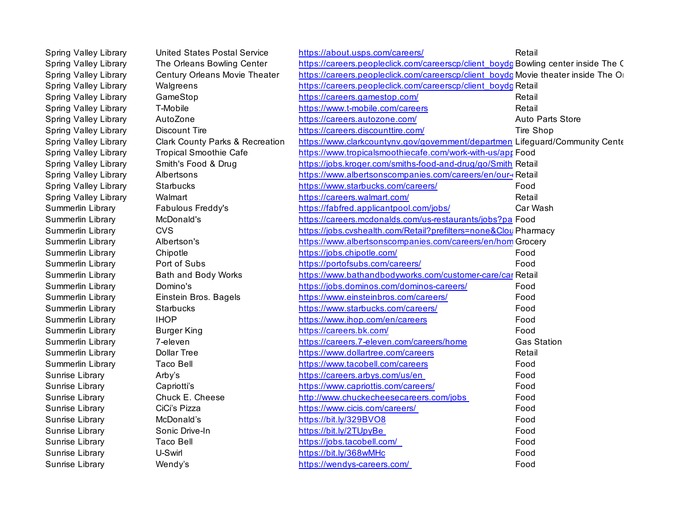| Spring Valley Library | <b>United States Postal Service</b>        | https://about.usps.com/careers/                                                    | Retail                  |
|-----------------------|--------------------------------------------|------------------------------------------------------------------------------------|-------------------------|
| Spring Valley Library | The Orleans Bowling Center                 | https://careers.peopleclick.com/careerscp/client_boydg Bowling center inside The C |                         |
| Spring Valley Library | Century Orleans Movie Theater              | https://careers.peopleclick.com/careerscp/client_boydg Movie theater inside The Or |                         |
| Spring Valley Library | Walgreens                                  | https://careers.peopleclick.com/careerscp/client_boydg Retail                      |                         |
| Spring Valley Library | GameStop                                   | https://careers.gamestop.com/                                                      | Retail                  |
| Spring Valley Library | T-Mobile                                   | https://www.t-mobile.com/careers                                                   | Retail                  |
| Spring Valley Library | AutoZone                                   | https://careers.autozone.com/                                                      | <b>Auto Parts Store</b> |
| Spring Valley Library | <b>Discount Tire</b>                       | https://careers.discounttire.com/                                                  | Tire Shop               |
| Spring Valley Library | <b>Clark County Parks &amp; Recreation</b> | https://www.clarkcountyny.gov/government/departmen Lifeguard/Community Cente       |                         |
| Spring Valley Library | <b>Tropical Smoothie Cafe</b>              | https://www.tropicalsmoothiecafe.com/work-with-us/apr Food                         |                         |
| Spring Valley Library | Smith's Food & Drug                        | https://jobs.kroger.com/smiths-food-and-drug/go/Smith Retail                       |                         |
| Spring Valley Library | Albertsons                                 | https://www.albertsonscompanies.com/careers/en/our-                                |                         |
| Spring Valley Library | Starbucks                                  | https://www.starbucks.com/careers/                                                 | Food                    |
| Spring Valley Library | Walmart                                    | https://careers.walmart.com/                                                       | Retail                  |
| Summerlin Library     | Fabulous Freddy's                          | https://fabfred.applicantpool.com/jobs/                                            | Car Wash                |
| Summerlin Library     | McDonald's                                 | https://careers.mcdonalds.com/us-restaurants/jobs?pa Food                          |                         |
| Summerlin Library     | <b>CVS</b>                                 | https://jobs.cvshealth.com/Retail?prefilters=none&Clou Pharmacy                    |                         |
| Summerlin Library     | Albertson's                                | https://www.albertsonscompanies.com/careers/en/hom Grocery                         |                         |
| Summerlin Library     | Chipotle                                   | https://jobs.chipotle.com/                                                         | Food                    |
| Summerlin Library     | Port of Subs                               | https://portofsubs.com/careers/                                                    | Food                    |
| Summerlin Library     | Bath and Body Works                        | https://www.bathandbodyworks.com/customer-care/car Retail                          |                         |
| Summerlin Library     | Domino's                                   | https://jobs.dominos.com/dominos-careers/                                          | Food                    |
| Summerlin Library     | Einstein Bros. Bagels                      | https://www.einsteinbros.com/careers/                                              | Food                    |
| Summerlin Library     | <b>Starbucks</b>                           | https://www.starbucks.com/careers/                                                 | Food                    |
| Summerlin Library     | <b>IHOP</b>                                | https://www.ihop.com/en/careers                                                    | Food                    |
| Summerlin Library     | <b>Burger King</b>                         | https://careers.bk.com/                                                            | Food                    |
| Summerlin Library     | 7-eleven                                   | https://careers.7-eleven.com/careers/home                                          | <b>Gas Station</b>      |
| Summerlin Library     | <b>Dollar Tree</b>                         | https://www.dollartree.com/careers                                                 | Retail                  |
| Summerlin Library     | <b>Taco Bell</b>                           | https://www.tacobell.com/careers                                                   | Food                    |
| Sunrise Library       | Arby's                                     | https://careers.arbys.com/us/en                                                    | Food                    |
| Sunrise Library       | Capriotti's                                | https://www.capriottis.com/careers/                                                | Food                    |
| Sunrise Library       | Chuck E. Cheese                            | http://www.chuckecheesecareers.com/jobs                                            | Food                    |
| Sunrise Library       | CiCi's Pizza                               | https://www.cicis.com/careers/                                                     | Food                    |
| Sunrise Library       | McDonald's                                 | https://bit.ly/329BVO8                                                             | Food                    |
| Sunrise Library       | Sonic Drive-In                             | https://bit.ly/2TUpyBe                                                             | Food                    |
| Sunrise Library       | <b>Taco Bell</b>                           | https://jobs.tacobell.com/                                                         | Food                    |
| Sunrise Library       | U-Swirl                                    | https://bit.ly/368wMHc                                                             | Food                    |
| Sunrise Library       | Wendy's                                    | https://wendys-careers.com/                                                        | Food                    |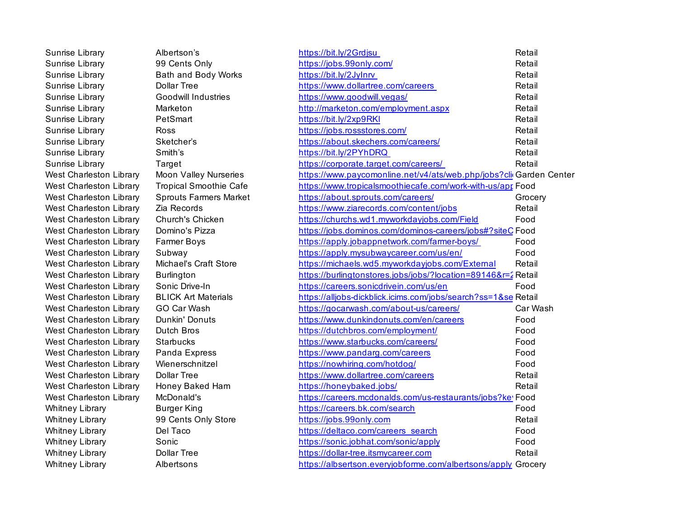| Sunrise Library                | Albertson's                   | https://bit.ly/2Grdjsu                                             | Retail   |
|--------------------------------|-------------------------------|--------------------------------------------------------------------|----------|
| Sunrise Library                | 99 Cents Only                 | https://jobs.99only.com/                                           | Retail   |
| Sunrise Library                | Bath and Body Works           | https://bit.ly/2JyInrv                                             | Retail   |
| Sunrise Library                | <b>Dollar Tree</b>            | https://www.dollartree.com/careers                                 | Retail   |
| Sunrise Library                | <b>Goodwill Industries</b>    | https://www.goodwill.vegas/                                        | Retail   |
| Sunrise Library                | Marketon                      | http://marketon.com/employment.aspx                                | Retail   |
| Sunrise Library                | PetSmart                      | https://bit.ly/2xp9RKI                                             | Retail   |
| Sunrise Library                | Ross                          | https://jobs.rossstores.com/                                       | Retail   |
| Sunrise Library                | Sketcher's                    | https://about.skechers.com/careers/                                | Retail   |
| Sunrise Library                | Smith's                       | https://bit.ly/2PYhDRQ                                             | Retail   |
| Sunrise Library                | Target                        | https://corporate.target.com/careers/                              | Retail   |
| West Charleston Library        | Moon Valley Nurseries         | https://www.paycomonline.net/v4/ats/web.php/jobs?clicGarden Center |          |
| West Charleston Library        | <b>Tropical Smoothie Cafe</b> | https://www.tropicalsmoothiecafe.com/work-with-us/apr Food         |          |
| West Charleston Library        | <b>Sprouts Farmers Market</b> | https://about.sprouts.com/careers/                                 | Grocery  |
| West Charleston Library        | Zia Records                   | https://www.ziarecords.com/content/jobs                            | Retail   |
| West Charleston Library        | Church's Chicken              | https://churchs.wd1.myworkdayjobs.com/Field                        | Food     |
| West Charleston Library        | Domino's Pizza                | https://jobs.dominos.com/dominos-careers/jobs#?siteC Food          |          |
| West Charleston Library        | <b>Farmer Boys</b>            | https://apply.jobappnetwork.com/farmer-boys/                       | Food     |
| West Charleston Library        | Subway                        | https://apply.mysubwaycareer.com/us/en/                            | Food     |
| West Charleston Library        | Michael's Craft Store         | https://michaels.wd5.myworkdayjobs.com/External                    | Retail   |
| West Charleston Library        | <b>Burlington</b>             | https://burlingtonstores.jobs/jobs/?location=89146&r=2 Retail      |          |
| West Charleston Library        | Sonic Drive-In                | https://careers.sonicdrivein.com/us/en                             | Food     |
| West Charleston Library        | <b>BLICK Art Materials</b>    | https://alljobs-dickblick.icims.com/jobs/search?ss=1&se Retail     |          |
| West Charleston Library        | GO Car Wash                   | https://gocarwash.com/about-us/careers/                            | Car Wash |
| West Charleston Library        | Dunkin' Donuts                | https://www.dunkindonuts.com/en/careers                            | Food     |
| West Charleston Library        | Dutch Bros                    | https://dutchbros.com/employment/                                  | Food     |
| West Charleston Library        | <b>Starbucks</b>              | https://www.starbucks.com/careers/                                 | Food     |
| West Charleston Library        | Panda Express                 | https://www.pandarg.com/careers                                    | Food     |
| <b>West Charleston Library</b> | Wienerschnitzel               | https://nowhiring.com/hotdog/                                      | Food     |
| West Charleston Library        | <b>Dollar Tree</b>            | https://www.dollartree.com/careers                                 | Retail   |
| West Charleston Library        | Honey Baked Ham               | https://honeybaked.jobs/                                           | Retail   |
| West Charleston Library        | McDonald's                    | https://careers.mcdonalds.com/us-restaurants/jobs?ke' Food         |          |
| <b>Whitney Library</b>         | <b>Burger King</b>            | https://careers.bk.com/search                                      | Food     |
| <b>Whitney Library</b>         | 99 Cents Only Store           | https://jobs.99only.com                                            | Retail   |
| <b>Whitney Library</b>         | Del Taco                      | https://deltaco.com/careers search                                 | Food     |
| <b>Whitney Library</b>         | Sonic                         | https://sonic.jobhat.com/sonic/apply                               | Food     |
| <b>Whitney Library</b>         | <b>Dollar Tree</b>            | https://dollar-tree.itsmycareer.com                                | Retail   |
| Whitney Library                | Albertsons                    | https://albsertson.everyjobforme.com/albertsons/apply Grocery      |          |